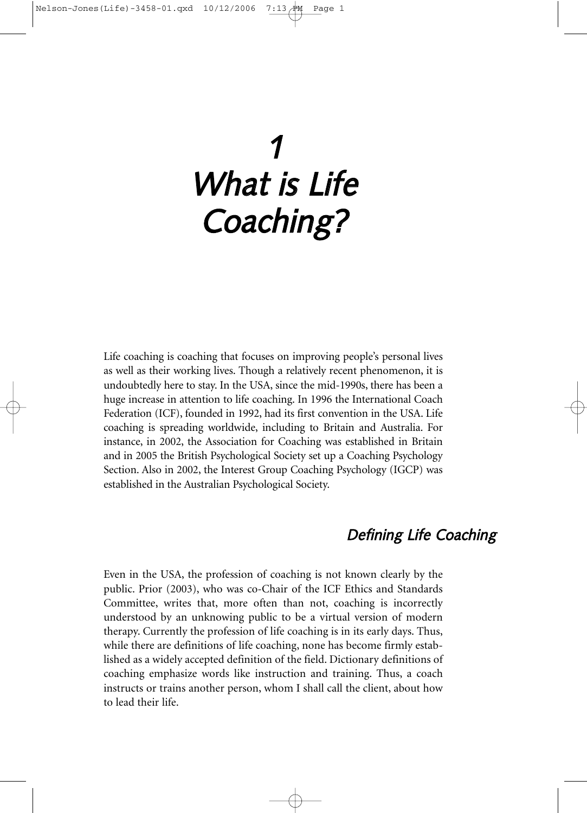Life coaching is coaching that focuses on improving people's personal lives as well as their working lives. Though a relatively recent phenomenon, it is undoubtedly here to stay. In the USA, since the mid-1990s, there has been a huge increase in attention to life coaching. In 1996 the International Coach Federation (ICF), founded in 1992, had its first convention in the USA. Life coaching is spreading worldwide, including to Britain and Australia. For instance, in 2002, the Association for Coaching was established in Britain and in 2005 the British Psychological Society set up a Coaching Psychology Section. Also in 2002, the Interest Group Coaching Psychology (IGCP) was established in the Australian Psychological Society.

## Defining Life Coaching

Even in the USA, the profession of coaching is not known clearly by the public. Prior (2003), who was co-Chair of the ICF Ethics and Standards Committee, writes that, more often than not, coaching is incorrectly understood by an unknowing public to be a virtual version of modern therapy. Currently the profession of life coaching is in its early days. Thus, while there are definitions of life coaching, none has become firmly established as a widely accepted definition of the field. Dictionary definitions of coaching emphasize words like instruction and training. Thus, a coach instructs or trains another person, whom I shall call the client, about how to lead their life.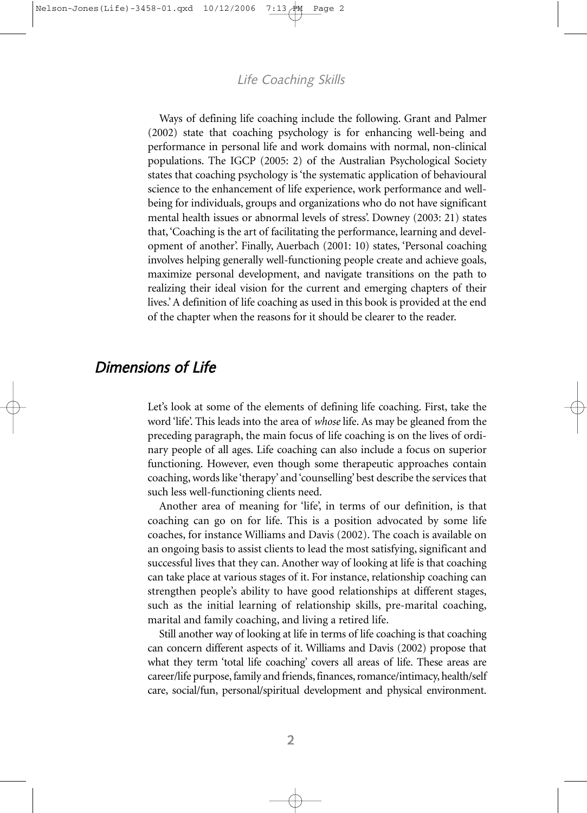Ways of defining life coaching include the following. Grant and Palmer (2002) state that coaching psychology is for enhancing well-being and performance in personal life and work domains with normal, non-clinical populations. The IGCP (2005: 2) of the Australian Psychological Society states that coaching psychology is 'the systematic application of behavioural science to the enhancement of life experience, work performance and wellbeing for individuals, groups and organizations who do not have significant mental health issues or abnormal levels of stress'. Downey (2003: 21) states that, 'Coaching is the art of facilitating the performance, learning and development of another'. Finally, Auerbach (2001: 10) states, 'Personal coaching involves helping generally well-functioning people create and achieve goals, maximize personal development, and navigate transitions on the path to realizing their ideal vision for the current and emerging chapters of their lives.' A definition of life coaching as used in this book is provided at the end of the chapter when the reasons for it should be clearer to the reader.

### Dimensions of Life

Let's look at some of the elements of defining life coaching. First, take the word 'life'. This leads into the area of *whose* life. As may be gleaned from the preceding paragraph, the main focus of life coaching is on the lives of ordinary people of all ages. Life coaching can also include a focus on superior functioning. However, even though some therapeutic approaches contain coaching, words like 'therapy' and 'counselling' best describe the services that such less well-functioning clients need.

Another area of meaning for 'life', in terms of our definition, is that coaching can go on for life. This is a position advocated by some life coaches, for instance Williams and Davis (2002). The coach is available on an ongoing basis to assist clients to lead the most satisfying, significant and successful lives that they can. Another way of looking at life is that coaching can take place at various stages of it. For instance, relationship coaching can strengthen people's ability to have good relationships at different stages, such as the initial learning of relationship skills, pre-marital coaching, marital and family coaching, and living a retired life.

Still another way of looking at life in terms of life coaching is that coaching can concern different aspects of it. Williams and Davis (2002) propose that what they term 'total life coaching' covers all areas of life. These areas are career/life purpose, family and friends, finances, romance/intimacy, health/self care, social/fun, personal/spiritual development and physical environment.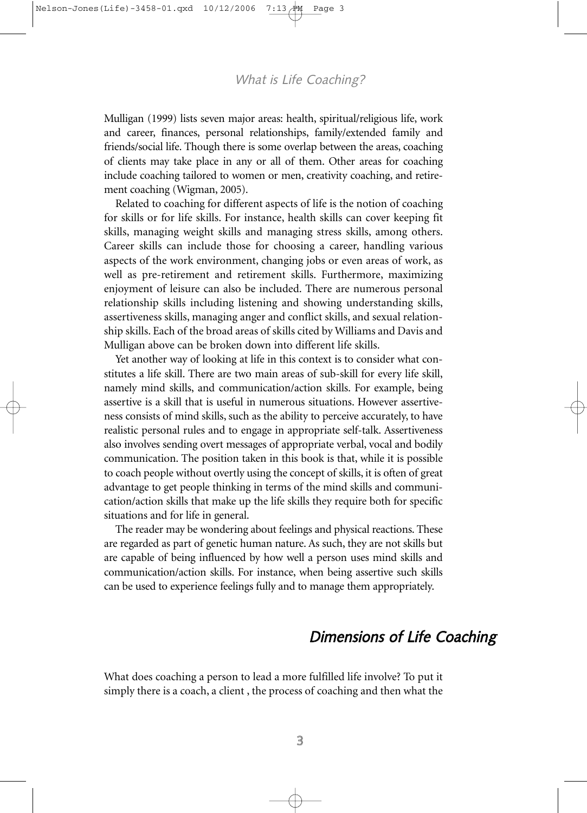Mulligan (1999) lists seven major areas: health, spiritual/religious life, work and career, finances, personal relationships, family/extended family and friends/social life. Though there is some overlap between the areas, coaching of clients may take place in any or all of them. Other areas for coaching include coaching tailored to women or men, creativity coaching, and retirement coaching (Wigman, 2005).

Related to coaching for different aspects of life is the notion of coaching for skills or for life skills. For instance, health skills can cover keeping fit skills, managing weight skills and managing stress skills, among others. Career skills can include those for choosing a career, handling various aspects of the work environment, changing jobs or even areas of work, as well as pre-retirement and retirement skills. Furthermore, maximizing enjoyment of leisure can also be included. There are numerous personal relationship skills including listening and showing understanding skills, assertiveness skills, managing anger and conflict skills, and sexual relationship skills. Each of the broad areas of skills cited by Williams and Davis and Mulligan above can be broken down into different life skills.

Yet another way of looking at life in this context is to consider what constitutes a life skill. There are two main areas of sub-skill for every life skill, namely mind skills, and communication/action skills. For example, being assertive is a skill that is useful in numerous situations. However assertiveness consists of mind skills, such as the ability to perceive accurately, to have realistic personal rules and to engage in appropriate self-talk. Assertiveness also involves sending overt messages of appropriate verbal, vocal and bodily communication. The position taken in this book is that, while it is possible to coach people without overtly using the concept of skills, it is often of great advantage to get people thinking in terms of the mind skills and communication/action skills that make up the life skills they require both for specific situations and for life in general.

The reader may be wondering about feelings and physical reactions. These are regarded as part of genetic human nature. As such, they are not skills but are capable of being influenced by how well a person uses mind skills and communication/action skills. For instance, when being assertive such skills can be used to experience feelings fully and to manage them appropriately.

## Dimensions of Life Coaching

What does coaching a person to lead a more fulfilled life involve? To put it simply there is a coach, a client , the process of coaching and then what the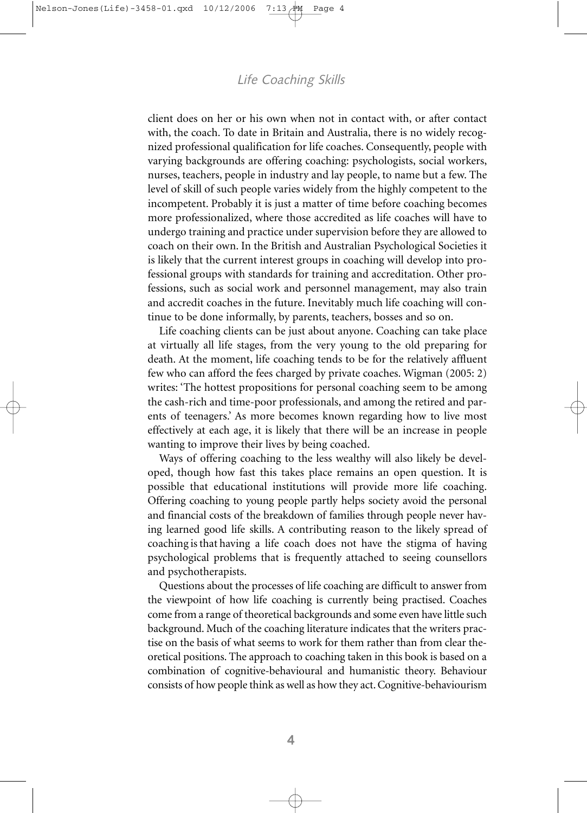client does on her or his own when not in contact with, or after contact with, the coach. To date in Britain and Australia, there is no widely recognized professional qualification for life coaches. Consequently, people with varying backgrounds are offering coaching: psychologists, social workers, nurses, teachers, people in industry and lay people, to name but a few. The level of skill of such people varies widely from the highly competent to the incompetent. Probably it is just a matter of time before coaching becomes more professionalized, where those accredited as life coaches will have to undergo training and practice under supervision before they are allowed to coach on their own. In the British and Australian Psychological Societies it is likely that the current interest groups in coaching will develop into professional groups with standards for training and accreditation. Other professions, such as social work and personnel management, may also train and accredit coaches in the future. Inevitably much life coaching will continue to be done informally, by parents, teachers, bosses and so on.

Life coaching clients can be just about anyone. Coaching can take place at virtually all life stages, from the very young to the old preparing for death. At the moment, life coaching tends to be for the relatively affluent few who can afford the fees charged by private coaches. Wigman (2005: 2) writes: 'The hottest propositions for personal coaching seem to be among the cash-rich and time-poor professionals, and among the retired and parents of teenagers.' As more becomes known regarding how to live most effectively at each age, it is likely that there will be an increase in people wanting to improve their lives by being coached.

Ways of offering coaching to the less wealthy will also likely be developed, though how fast this takes place remains an open question. It is possible that educational institutions will provide more life coaching. Offering coaching to young people partly helps society avoid the personal and financial costs of the breakdown of families through people never having learned good life skills. A contributing reason to the likely spread of coaching is that having a life coach does not have the stigma of having psychological problems that is frequently attached to seeing counsellors and psychotherapists.

Questions about the processes of life coaching are difficult to answer from the viewpoint of how life coaching is currently being practised. Coaches come from a range of theoretical backgrounds and some even have little such background. Much of the coaching literature indicates that the writers practise on the basis of what seems to work for them rather than from clear theoretical positions. The approach to coaching taken in this book is based on a combination of cognitive-behavioural and humanistic theory. Behaviour consists of how people think as well as how they act. Cognitive-behaviourism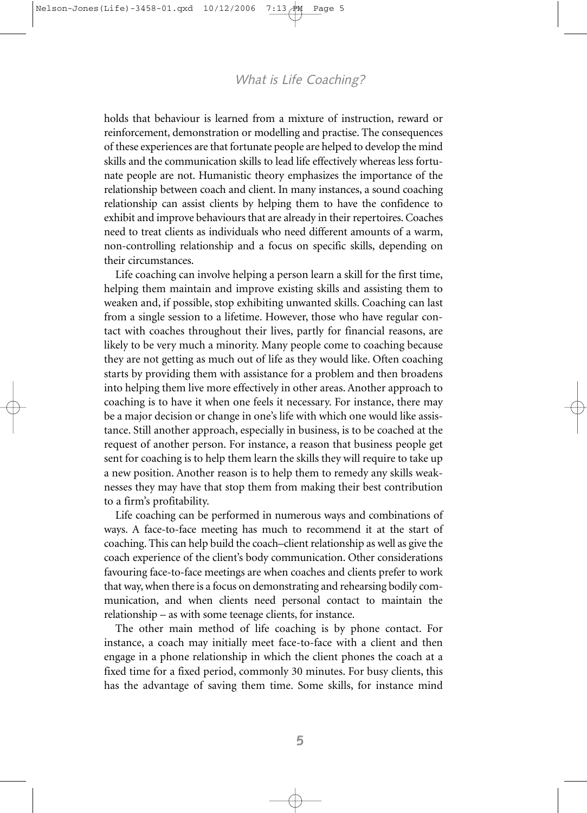holds that behaviour is learned from a mixture of instruction, reward or reinforcement, demonstration or modelling and practise. The consequences of these experiences are that fortunate people are helped to develop the mind skills and the communication skills to lead life effectively whereas less fortunate people are not. Humanistic theory emphasizes the importance of the relationship between coach and client. In many instances, a sound coaching relationship can assist clients by helping them to have the confidence to exhibit and improve behaviours that are already in their repertoires. Coaches need to treat clients as individuals who need different amounts of a warm, non-controlling relationship and a focus on specific skills, depending on their circumstances.

Life coaching can involve helping a person learn a skill for the first time, helping them maintain and improve existing skills and assisting them to weaken and, if possible, stop exhibiting unwanted skills. Coaching can last from a single session to a lifetime. However, those who have regular contact with coaches throughout their lives, partly for financial reasons, are likely to be very much a minority. Many people come to coaching because they are not getting as much out of life as they would like. Often coaching starts by providing them with assistance for a problem and then broadens into helping them live more effectively in other areas. Another approach to coaching is to have it when one feels it necessary. For instance, there may be a major decision or change in one's life with which one would like assistance. Still another approach, especially in business, is to be coached at the request of another person. For instance, a reason that business people get sent for coaching is to help them learn the skills they will require to take up a new position. Another reason is to help them to remedy any skills weaknesses they may have that stop them from making their best contribution to a firm's profitability.

Life coaching can be performed in numerous ways and combinations of ways. A face-to-face meeting has much to recommend it at the start of coaching. This can help build the coach–client relationship as well as give the coach experience of the client's body communication. Other considerations favouring face-to-face meetings are when coaches and clients prefer to work that way, when there is a focus on demonstrating and rehearsing bodily communication, and when clients need personal contact to maintain the relationship – as with some teenage clients, for instance.

The other main method of life coaching is by phone contact. For instance, a coach may initially meet face-to-face with a client and then engage in a phone relationship in which the client phones the coach at a fixed time for a fixed period, commonly 30 minutes. For busy clients, this has the advantage of saving them time. Some skills, for instance mind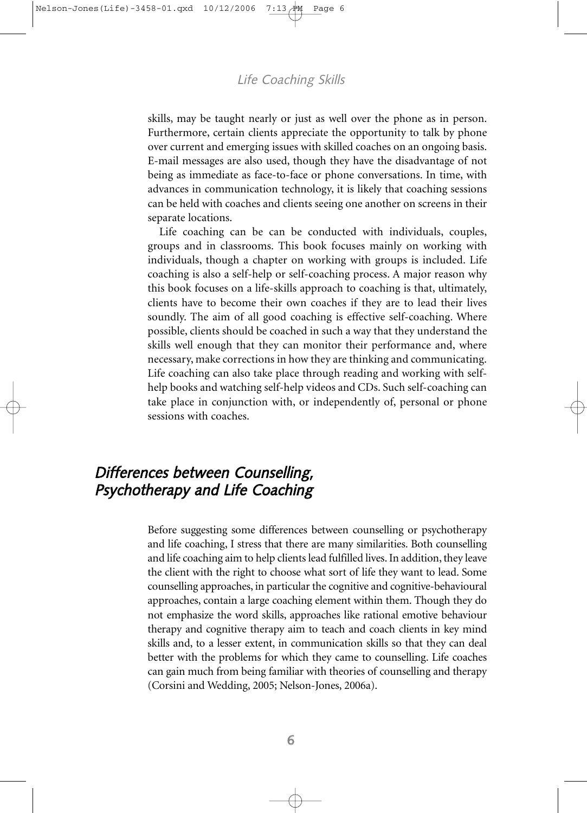skills, may be taught nearly or just as well over the phone as in person. Furthermore, certain clients appreciate the opportunity to talk by phone over current and emerging issues with skilled coaches on an ongoing basis. E-mail messages are also used, though they have the disadvantage of not being as immediate as face-to-face or phone conversations. In time, with advances in communication technology, it is likely that coaching sessions can be held with coaches and clients seeing one another on screens in their separate locations.

Life coaching can be can be conducted with individuals, couples, groups and in classrooms. This book focuses mainly on working with individuals, though a chapter on working with groups is included. Life coaching is also a self-help or self-coaching process. A major reason why this book focuses on a life-skills approach to coaching is that, ultimately, clients have to become their own coaches if they are to lead their lives soundly. The aim of all good coaching is effective self-coaching. Where possible, clients should be coached in such a way that they understand the skills well enough that they can monitor their performance and, where necessary, make corrections in how they are thinking and communicating. Life coaching can also take place through reading and working with selfhelp books and watching self-help videos and CDs. Such self-coaching can take place in conjunction with, or independently of, personal or phone sessions with coaches.

## Differences between Counselling, Psychotherapy and Life Coaching

Before suggesting some differences between counselling or psychotherapy and life coaching, I stress that there are many similarities. Both counselling and life coaching aim to help clients lead fulfilled lives. In addition, they leave the client with the right to choose what sort of life they want to lead. Some counselling approaches, in particular the cognitive and cognitive-behavioural approaches, contain a large coaching element within them. Though they do not emphasize the word skills, approaches like rational emotive behaviour therapy and cognitive therapy aim to teach and coach clients in key mind skills and, to a lesser extent, in communication skills so that they can deal better with the problems for which they came to counselling. Life coaches can gain much from being familiar with theories of counselling and therapy (Corsini and Wedding, 2005; Nelson-Jones, 2006a).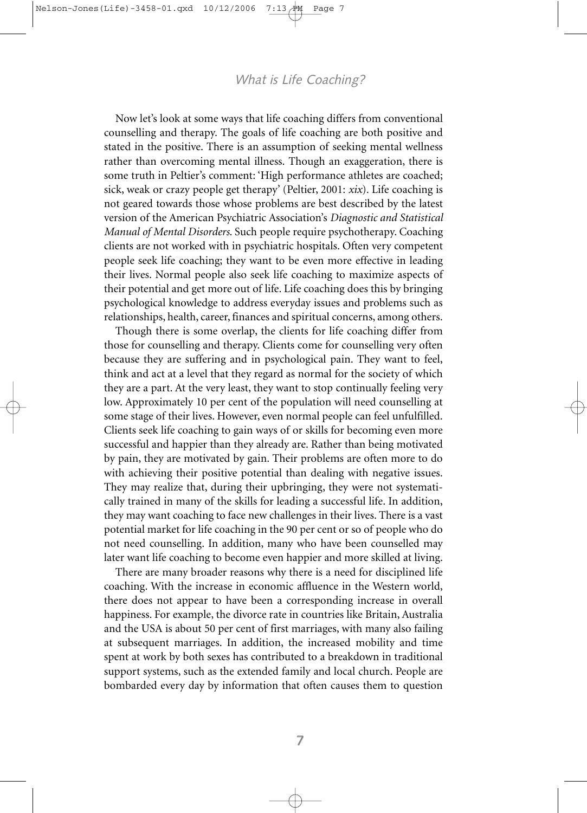Now let's look at some ways that life coaching differs from conventional counselling and therapy. The goals of life coaching are both positive and stated in the positive. There is an assumption of seeking mental wellness rather than overcoming mental illness. Though an exaggeration, there is some truth in Peltier's comment: 'High performance athletes are coached; sick, weak or crazy people get therapy' (Peltier, 2001: *xix*). Life coaching is not geared towards those whose problems are best described by the latest version of the American Psychiatric Association's *Diagnostic and Statistical Manual of Mental Disorders*. Such people require psychotherapy. Coaching clients are not worked with in psychiatric hospitals. Often very competent people seek life coaching; they want to be even more effective in leading their lives. Normal people also seek life coaching to maximize aspects of their potential and get more out of life. Life coaching does this by bringing psychological knowledge to address everyday issues and problems such as relationships, health, career, finances and spiritual concerns, among others.

Though there is some overlap, the clients for life coaching differ from those for counselling and therapy. Clients come for counselling very often because they are suffering and in psychological pain. They want to feel, think and act at a level that they regard as normal for the society of which they are a part. At the very least, they want to stop continually feeling very low. Approximately 10 per cent of the population will need counselling at some stage of their lives. However, even normal people can feel unfulfilled. Clients seek life coaching to gain ways of or skills for becoming even more successful and happier than they already are. Rather than being motivated by pain, they are motivated by gain. Their problems are often more to do with achieving their positive potential than dealing with negative issues. They may realize that, during their upbringing, they were not systematically trained in many of the skills for leading a successful life. In addition, they may want coaching to face new challenges in their lives. There is a vast potential market for life coaching in the 90 per cent or so of people who do not need counselling. In addition, many who have been counselled may later want life coaching to become even happier and more skilled at living.

There are many broader reasons why there is a need for disciplined life coaching. With the increase in economic affluence in the Western world, there does not appear to have been a corresponding increase in overall happiness. For example, the divorce rate in countries like Britain, Australia and the USA is about 50 per cent of first marriages, with many also failing at subsequent marriages. In addition, the increased mobility and time spent at work by both sexes has contributed to a breakdown in traditional support systems, such as the extended family and local church. People are bombarded every day by information that often causes them to question

7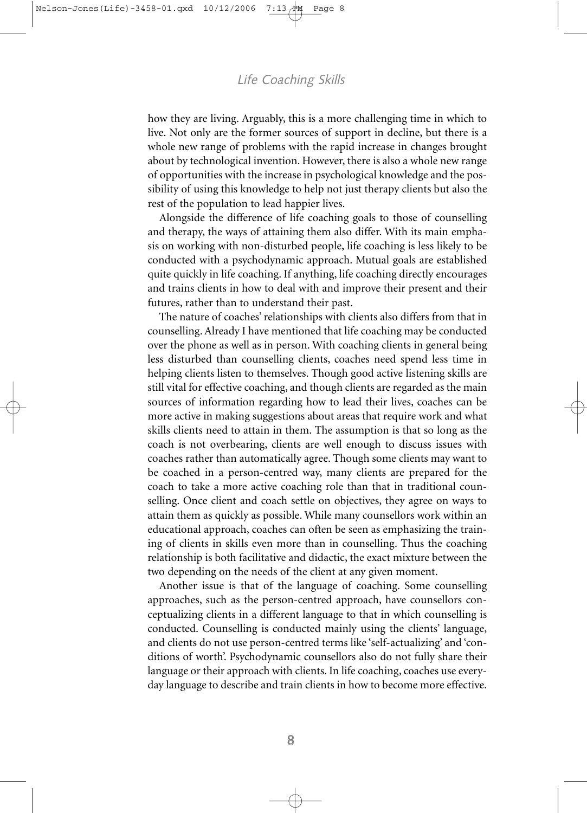how they are living. Arguably, this is a more challenging time in which to live. Not only are the former sources of support in decline, but there is a whole new range of problems with the rapid increase in changes brought about by technological invention. However, there is also a whole new range of opportunities with the increase in psychological knowledge and the possibility of using this knowledge to help not just therapy clients but also the rest of the population to lead happier lives.

Alongside the difference of life coaching goals to those of counselling and therapy, the ways of attaining them also differ. With its main emphasis on working with non-disturbed people, life coaching is less likely to be conducted with a psychodynamic approach. Mutual goals are established quite quickly in life coaching. If anything, life coaching directly encourages and trains clients in how to deal with and improve their present and their futures, rather than to understand their past.

The nature of coaches' relationships with clients also differs from that in counselling. Already I have mentioned that life coaching may be conducted over the phone as well as in person. With coaching clients in general being less disturbed than counselling clients, coaches need spend less time in helping clients listen to themselves. Though good active listening skills are still vital for effective coaching, and though clients are regarded as the main sources of information regarding how to lead their lives, coaches can be more active in making suggestions about areas that require work and what skills clients need to attain in them. The assumption is that so long as the coach is not overbearing, clients are well enough to discuss issues with coaches rather than automatically agree. Though some clients may want to be coached in a person-centred way, many clients are prepared for the coach to take a more active coaching role than that in traditional counselling. Once client and coach settle on objectives, they agree on ways to attain them as quickly as possible. While many counsellors work within an educational approach, coaches can often be seen as emphasizing the training of clients in skills even more than in counselling. Thus the coaching relationship is both facilitative and didactic, the exact mixture between the two depending on the needs of the client at any given moment.

Another issue is that of the language of coaching. Some counselling approaches, such as the person-centred approach, have counsellors conceptualizing clients in a different language to that in which counselling is conducted. Counselling is conducted mainly using the clients' language, and clients do not use person-centred terms like 'self-actualizing' and 'conditions of worth'. Psychodynamic counsellors also do not fully share their language or their approach with clients. In life coaching, coaches use everyday language to describe and train clients in how to become more effective.